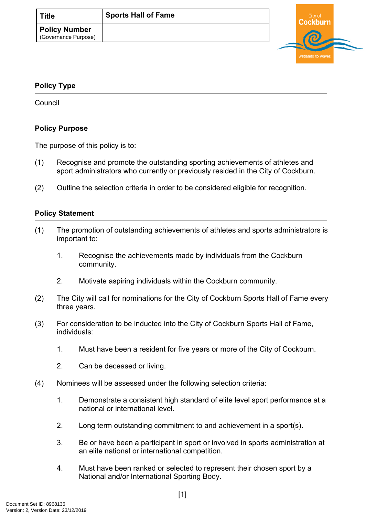

## <span id="page-0-0"></span>**[Policy Type](#page-0-0)**

**Council** 

## **Policy Purpose**

The purpose of this policy is to:

- (1) Recognise and promote the outstanding sporting achievements of athletes and sport administrators who currently or previously resided in the City of Cockburn.
- (2) Outline the selection criteria in order to be considered eligible for recognition.

## **[Policy Statement](#page-0-1)**

- <span id="page-0-1"></span>(1) The promotion of outstanding achievements of athletes and sports administrators is important to:
	- 1. Recognise the achievements made by individuals from the Cockburn community.
	- 2. Motivate aspiring individuals within the Cockburn community.
- (2) The City will call for nominations for the City of Cockburn Sports Hall of Fame every three years.
- (3) For consideration to be inducted into the City of Cockburn Sports Hall of Fame, individuals:
	- 1. Must have been a resident for five years or more of the City of Cockburn.
	- 2. Can be deceased or living.
- (4) Nominees will be assessed under the following selection criteria:
	- 1. Demonstrate a consistent high standard of elite level sport performance at a national or international level.
	- 2. Long term outstanding commitment to and achievement in a sport(s).
	- 3. Be or have been a participant in sport or involved in sports administration at an elite national or international competition.
	- 4. Must have been ranked or selected to represent their chosen sport by a National and/or International Sporting Body.